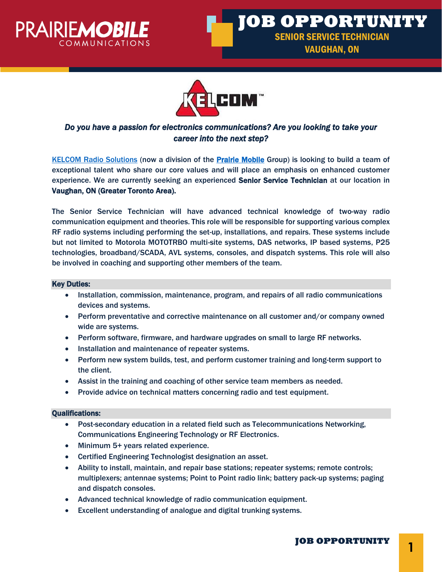





# *Do you have a passion for electronics communications? Are you looking to take your career into the next step?*

[KELCOM Radio Solutions](https://www.kelcomradio.com/) (now a division of the **Prairie Mobile** Group) is looking to build a team of exceptional talent who share our core values and will place an emphasis on enhanced customer experience. We are currently seeking an experienced Senior Service Technician at our location in Vaughan, ON (Greater Toronto Area).

The Senior Service Technician will have advanced technical knowledge of two-way radio communication equipment and theories. This role will be responsible for supporting various complex RF radio systems including performing the set-up, installations, and repairs. These systems include but not limited to Motorola MOTOTRBO multi-site systems, DAS networks, IP based systems, P25 technologies, broadband/SCADA, AVL systems, consoles, and dispatch systems. This role will also be involved in coaching and supporting other members of the team.

### Key Duties:

- Installation, commission, maintenance, program, and repairs of all radio communications devices and systems.
- Perform preventative and corrective maintenance on all customer and/or company owned wide are systems.
- Perform software, firmware, and hardware upgrades on small to large RF networks.
- Installation and maintenance of repeater systems.
- Perform new system builds, test, and perform customer training and long-term support to the client.
- Assist in the training and coaching of other service team members as needed.
- Provide advice on technical matters concerning radio and test equipment.

## Qualifications:

- Post-secondary education in a related field such as Telecommunications Networking, Communications Engineering Technology or RF Electronics.
- Minimum 5+ years related experience.
- Certified Engineering Technologist designation an asset.
- Ability to install, maintain, and repair base stations; repeater systems; remote controls; multiplexers; antennae systems; Point to Point radio link; battery pack-up systems; paging and dispatch consoles.
- Advanced technical knowledge of radio communication equipment.
- Excellent understanding of analogue and digital trunking systems.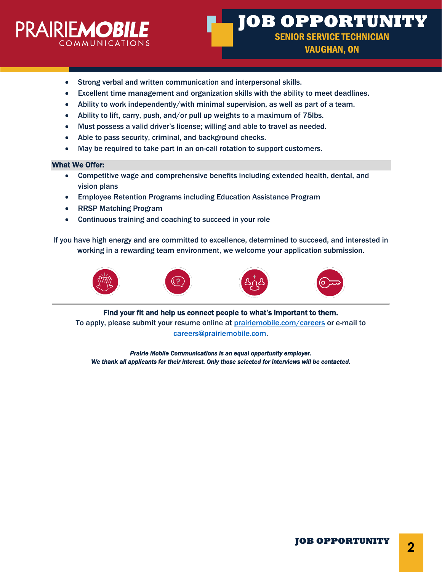

- Strong verbal and written communication and interpersonal skills.
- Excellent time management and organization skills with the ability to meet deadlines.
- Ability to work independently/with minimal supervision, as well as part of a team.
- Ability to lift, carry, push, and/or pull up weights to a maximum of 75lbs.
- Must possess a valid driver's license; willing and able to travel as needed.
- Able to pass security, criminal, and background checks.
- May be required to take part in an on-call rotation to support customers.

### What We Offer:

- Competitive wage and comprehensive benefits including extended health, dental, and vision plans
- Employee Retention Programs including Education Assistance Program
- RRSP Matching Program
- Continuous training and coaching to succeed in your role

If you have high energy and are committed to excellence, determined to succeed, and interested in working in a rewarding team environment, we welcome your application submission.









Find your fit and help us connect people to what's important to them. To apply, please submit your resume online at [prairiemobile.com/careers](mailto:prairiemobile.com/careers) or e-mail to [careers@prairiemobile.com.](mailto:careers@prairiemobile.com)

*Prairie Mobile Communications is an equal opportunity employer. We thank all applicants for their interest. Only those selected for interviews will be contacted.*